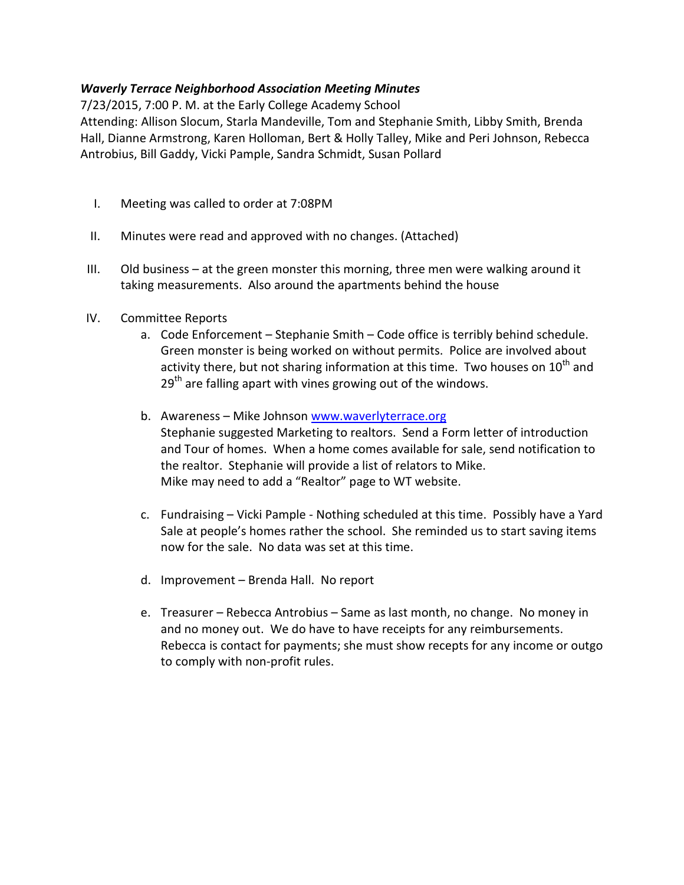## Waverly Terrace Neighborhood Association Meeting Minutes

7/23/2015, 7:00 P. M. at the Early College Academy School

Attending: Allison Slocum, Starla Mandeville, Tom and Stephanie Smith, Libby Smith, Brenda Hall, Dianne Armstrong, Karen Holloman, Bert & Holly Talley, Mike and Peri Johnson, Rebecca Antrobius, Bill Gaddy, Vicki Pample, Sandra Schmidt, Susan Pollard

- I. Meeting was called to order at 7:08PM
- II. Minutes were read and approved with no changes. (Attached)
- III. Old business at the green monster this morning, three men were walking around it taking measurements. Also around the apartments behind the house
- IV. Committee Reports
	- a. Code Enforcement Stephanie Smith Code office is terribly behind schedule. Green monster is being worked on without permits. Police are involved about activity there, but not sharing information at this time. Two houses on  $10<sup>th</sup>$  and  $29<sup>th</sup>$  are falling apart with vines growing out of the windows.
	- b. Awareness Mike Johnson www.waverlyterrace.org Stephanie suggested Marketing to realtors. Send a Form letter of introduction and Tour of homes. When a home comes available for sale, send notification to the realtor. Stephanie will provide a list of relators to Mike. Mike may need to add a "Realtor" page to WT website.
	- c. Fundraising Vicki Pample Nothing scheduled at this time. Possibly have a Yard Sale at people's homes rather the school. She reminded us to start saving items now for the sale. No data was set at this time.
	- d. Improvement Brenda Hall. No report
	- e. Treasurer Rebecca Antrobius Same as last month, no change. No money in and no money out. We do have to have receipts for any reimbursements. Rebecca is contact for payments; she must show recepts for any income or outgo to comply with non-profit rules.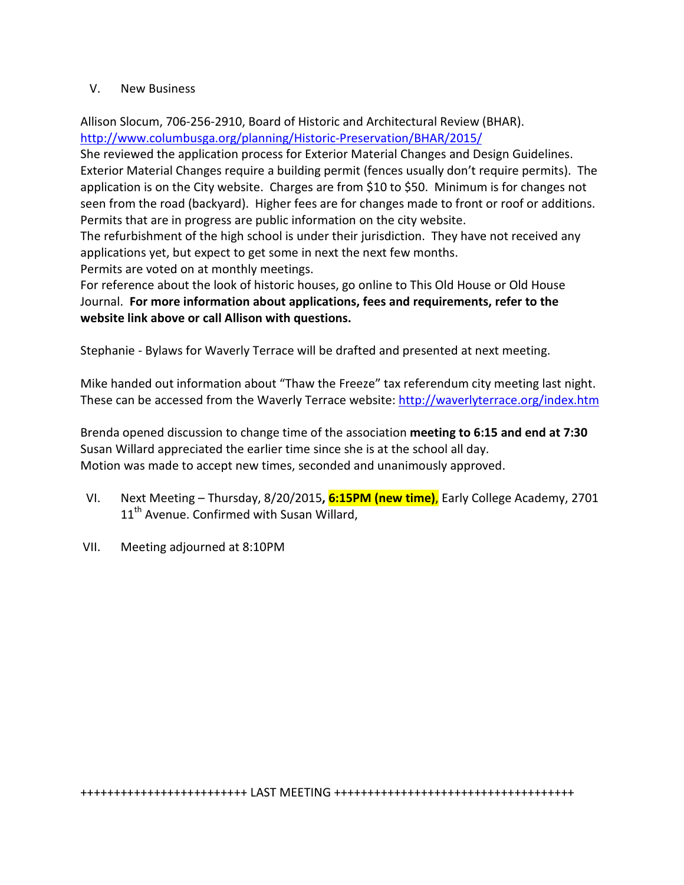## V. New Business

Allison Slocum, 706-256-2910, Board of Historic and Architectural Review (BHAR). http://www.columbusga.org/planning/Historic-Preservation/BHAR/2015/

She reviewed the application process for Exterior Material Changes and Design Guidelines. Exterior Material Changes require a building permit (fences usually don't require permits). The application is on the City website. Charges are from \$10 to \$50. Minimum is for changes not seen from the road (backyard). Higher fees are for changes made to front or roof or additions. Permits that are in progress are public information on the city website.

The refurbishment of the high school is under their jurisdiction. They have not received any applications yet, but expect to get some in next the next few months. Permits are voted on at monthly meetings.

For reference about the look of historic houses, go online to This Old House or Old House Journal. For more information about applications, fees and requirements, refer to the website link above or call Allison with questions.

Stephanie - Bylaws for Waverly Terrace will be drafted and presented at next meeting.

Mike handed out information about "Thaw the Freeze" tax referendum city meeting last night. These can be accessed from the Waverly Terrace website: http://waverlyterrace.org/index.htm

Brenda opened discussion to change time of the association meeting to 6:15 and end at 7:30 Susan Willard appreciated the earlier time since she is at the school all day. Motion was made to accept new times, seconded and unanimously approved.

- VI. Next Meeting Thursday, 8/20/2015, 6:15PM (new time), Early College Academy, 2701 11<sup>th</sup> Avenue. Confirmed with Susan Willard,
- VII. Meeting adjourned at 8:10PM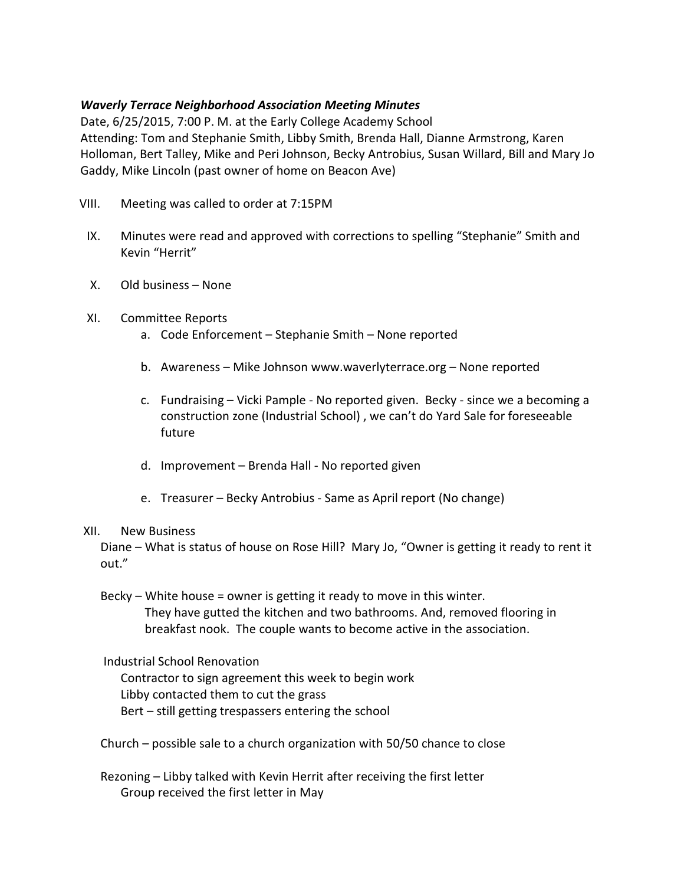## Waverly Terrace Neighborhood Association Meeting Minutes

Date, 6/25/2015, 7:00 P. M. at the Early College Academy School Attending: Tom and Stephanie Smith, Libby Smith, Brenda Hall, Dianne Armstrong, Karen Holloman, Bert Talley, Mike and Peri Johnson, Becky Antrobius, Susan Willard, Bill and Mary Jo Gaddy, Mike Lincoln (past owner of home on Beacon Ave)

- VIII. Meeting was called to order at 7:15PM
- IX. Minutes were read and approved with corrections to spelling "Stephanie" Smith and Kevin "Herrit"
- X. Old business None
- XI. Committee Reports
	- a. Code Enforcement Stephanie Smith None reported
	- b. Awareness Mike Johnson www.waverlyterrace.org None reported
	- c. Fundraising Vicki Pample No reported given. Becky since we a becoming a construction zone (Industrial School) , we can't do Yard Sale for foreseeable future
	- d. Improvement Brenda Hall No reported given
	- e. Treasurer Becky Antrobius Same as April report (No change)

## XII. New Business

Diane – What is status of house on Rose Hill? Mary Jo, "Owner is getting it ready to rent it out."

Becky – White house = owner is getting it ready to move in this winter. They have gutted the kitchen and two bathrooms. And, removed flooring in breakfast nook. The couple wants to become active in the association.

Industrial School Renovation

Contractor to sign agreement this week to begin work Libby contacted them to cut the grass Bert – still getting trespassers entering the school

Church – possible sale to a church organization with 50/50 chance to close

Rezoning – Libby talked with Kevin Herrit after receiving the first letter Group received the first letter in May